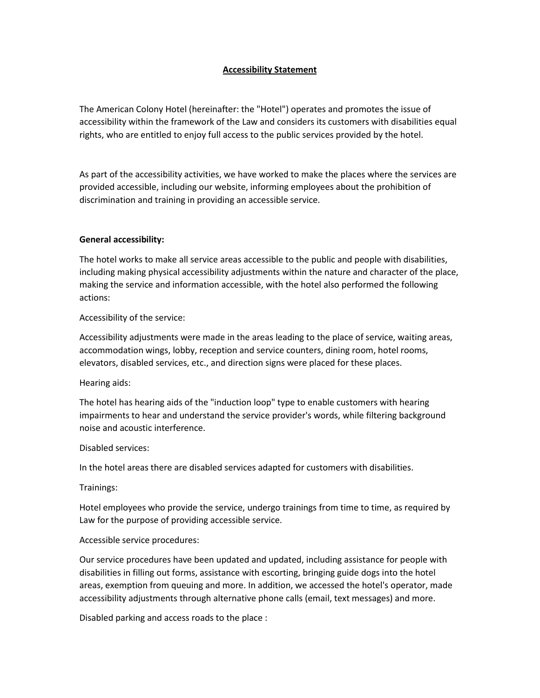### **Accessibility Statement**

The American Colony Hotel (hereinafter: the "Hotel") operates and promotes the issue of accessibility within the framework of the Law and considers its customers with disabilities equal rights, who are entitled to enjoy full access to the public services provided by the hotel.

As part of the accessibility activities, we have worked to make the places where the services are provided accessible, including our website, informing employees about the prohibition of discrimination and training in providing an accessible service.

### **General accessibility:**

The hotel works to make all service areas accessible to the public and people with disabilities, including making physical accessibility adjustments within the nature and character of the place, making the service and information accessible, with the hotel also performed the following actions:

## Accessibility of the service:

Accessibility adjustments were made in the areas leading to the place of service, waiting areas, accommodation wings, lobby, reception and service counters, dining room, hotel rooms, elevators, disabled services, etc., and direction signs were placed for these places.

### Hearing aids:

The hotel has hearing aids of the "induction loop" type to enable customers with hearing impairments to hear and understand the service provider's words, while filtering background noise and acoustic interference.

### Disabled services:

In the hotel areas there are disabled services adapted for customers with disabilities.

### Trainings:

Hotel employees who provide the service, undergo trainings from time to time, as required by Law for the purpose of providing accessible service.

# Accessible service procedures:

Our service procedures have been updated and updated, including assistance for people with disabilities in filling out forms, assistance with escorting, bringing guide dogs into the hotel areas, exemption from queuing and more. In addition, we accessed the hotel's operator, made accessibility adjustments through alternative phone calls (email, text messages) and more.

Disabled parking and access roads to the place :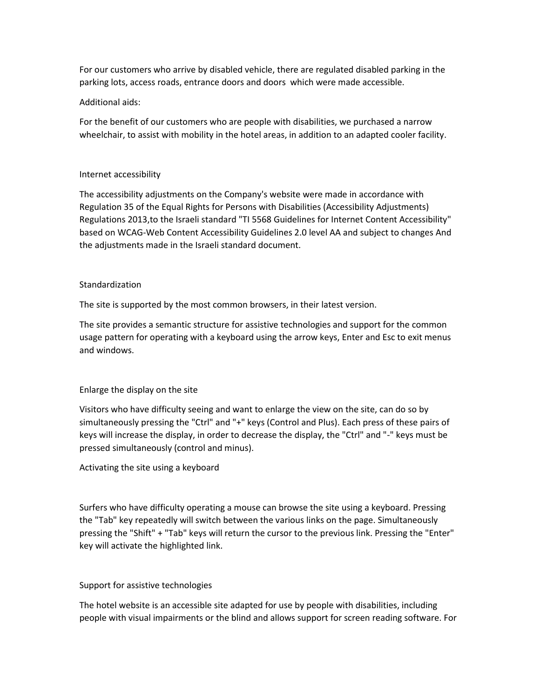For our customers who arrive by disabled vehicle, there are regulated disabled parking in the parking lots, access roads, entrance doors and doors which were made accessible.

### Additional aids:

For the benefit of our customers who are people with disabilities, we purchased a narrow wheelchair, to assist with mobility in the hotel areas, in addition to an adapted cooler facility.

### Internet accessibility

The accessibility adjustments on the Company's website were made in accordance with Regulation 35 of the Equal Rights for Persons with Disabilities (Accessibility Adjustments) Regulations 2013,to the Israeli standard "TI 5568 Guidelines for Internet Content Accessibility" based on WCAG-Web Content Accessibility Guidelines 2.0 level AA and subject to changes And the adjustments made in the Israeli standard document.

### **Standardization**

The site is supported by the most common browsers, in their latest version.

The site provides a semantic structure for assistive technologies and support for the common usage pattern for operating with a keyboard using the arrow keys, Enter and Esc to exit menus and windows.

# Enlarge the display on the site

Visitors who have difficulty seeing and want to enlarge the view on the site, can do so by simultaneously pressing the "Ctrl" and "+" keys (Control and Plus). Each press of these pairs of keys will increase the display, in order to decrease the display, the "Ctrl" and "-" keys must be pressed simultaneously (control and minus).

Activating the site using a keyboard

Surfers who have difficulty operating a mouse can browse the site using a keyboard. Pressing the "Tab" key repeatedly will switch between the various links on the page. Simultaneously pressing the "Shift" + "Tab" keys will return the cursor to the previous link. Pressing the "Enter" key will activate the highlighted link.

### Support for assistive technologies

The hotel website is an accessible site adapted for use by people with disabilities, including people with visual impairments or the blind and allows support for screen reading software. For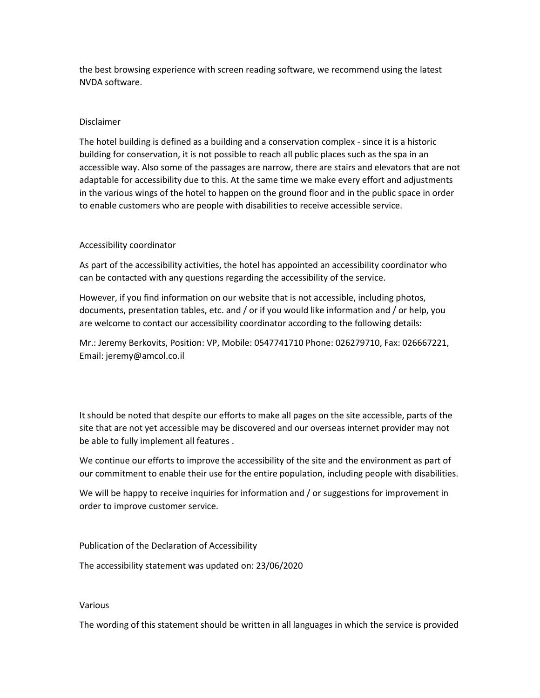the best browsing experience with screen reading software, we recommend using the latest NVDA software.

#### Disclaimer

The hotel building is defined as a building and a conservation complex - since it is a historic building for conservation, it is not possible to reach all public places such as the spa in an accessible way. Also some of the passages are narrow, there are stairs and elevators that are not adaptable for accessibility due to this. At the same time we make every effort and adjustments in the various wings of the hotel to happen on the ground floor and in the public space in order to enable customers who are people with disabilities to receive accessible service.

### Accessibility coordinator

As part of the accessibility activities, the hotel has appointed an accessibility coordinator who can be contacted with any questions regarding the accessibility of the service.

However, if you find information on our website that is not accessible, including photos, documents, presentation tables, etc. and / or if you would like information and / or help, you are welcome to contact our accessibility coordinator according to the following details:

Mr.: Jeremy Berkovits, Position: VP, Mobile: 0547741710 Phone: 026279710, Fax: 026667221, Email: jeremy@amcol.co.il

It should be noted that despite our efforts to make all pages on the site accessible, parts of the site that are not yet accessible may be discovered and our overseas internet provider may not be able to fully implement all features .

We continue our efforts to improve the accessibility of the site and the environment as part of our commitment to enable their use for the entire population, including people with disabilities.

We will be happy to receive inquiries for information and / or suggestions for improvement in order to improve customer service.

Publication of the Declaration of Accessibility

The accessibility statement was updated on: 23/06/2020

#### Various

The wording of this statement should be written in all languages in which the service is provided